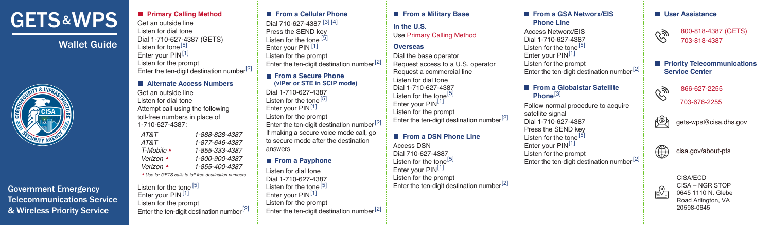# **GETS & WPS**

# Wallet Guide



Government Emergency Telecommunications Service & Wireless Priority Service

#### **Primary Calling Method**

Get an outside line Listen for dial tone Dial 1-710-627-4387 (GETS) Listen for tone<sup>[5]</sup> Enter your PIN<sup>[1]</sup> Listen for the prompt Enter the ten-digit destination number<sup>[2]</sup>  $\begin{bmatrix} 5 \end{bmatrix}$  Enter your PIN  $\begin{bmatrix} 1 \end{bmatrix}$ 

#### **Alternate Access Numbers**

Get an outside line Listen for dial tone Attempt call using the following toll-free numbers in place of 1-710-627-4387: *AT&T 1-888-828-4387*

| AT&T                                                   | 1-877-646-4387 |
|--------------------------------------------------------|----------------|
| $T-Mobile$ $\triangle$                                 | 1-855-333-4387 |
| Verizon ▲                                              | 1-800-900-4387 |
| Verizon $\triangle$                                    | 1-855-400-4387 |
| ▲ Use for GETS calls to toll-free destination numbers. |                |

Listen for the tone [5] Enter your PIN<sup>[1]</sup> Listen for the prompt Enter the ten-digit destination number<sup>[2]</sup>

## **From a Cellular Phone**

Dial 710-627-4387 <sup>[3]</sup> [<sup>4]</sup> Press the SEND key Listen for the tone [5] Listen for the prompt Enter the ten-digit destination number<sup>[2]</sup>

#### **From a Secure Phone (vIPer or STE in SCIP mode)**

Dial 1-710-627-4387 Listen for the tone<sup>[5]</sup> Enter your PIN<sup>[1]</sup> Listen for the prompt Enter the ten-digit destination number<sup>[2]</sup> If making a secure voice mode call, go to secure mode after the destination answers

#### **From a Payphone**

Listen for dial tone Dial 1-710-627-4387 Listen for the tone<sup>[5]</sup> Enter your PIN<sup>[1]</sup> Listen for the prompt Enter the ten-digit destination number<sup>[2]</sup>

### **From a Military Base**

**In the U.S.** Use Primary Calling Method

#### **Overseas**

Dial the base operator Request access to a U.S. operator Request a commercial line Listen for dial tone Dial 1-710-627-4387 Listen for the tone<sup>[5]</sup> Enter your PIN<sup>[1]</sup> Listen for the prompt Enter the ten-digit destination number<sup>[2]</sup>

### **From a DSN Phone Line**

Access DSN Dial 710-627-4387 Listen for the tone<sup>[5]</sup> Enter your PIN<sup>[1]</sup> Listen for the prompt Enter the ten-digit destination number<sup>[2]</sup>

#### **From a GSA Networx/EIS Phone Line**

Access Networx/EIS Dial 1-710-627-4387 Listen for the tone<sup>[5]</sup> Enter your PIN<sup>[1]</sup> Listen for the prompt Enter the ten-digit destination number<sup>[2]</sup>

#### **From a Globalstar Satellite Phone** [3]

Follow normal procedure to acquire satellite signal Dial 1-710-627-4387 Press the SEND key Listen for the tone<sup>[5]</sup> Enter your PIN<sup>[1]</sup>

Enter the ten-digit destination number<sup>[2]</sup>

Listen for the prompt

**User Assistance**

800-818-4387 (GETS) Q. 703-818-4387

### **Priority Telecommunications Service Center**

866-627-2255 703-676-2255

gets-wps@cisa.dhs.gov

 $\mathscr{C}_{\mathscr{Y}}$ 

∰ [cisa.gov/about-pts](https://www.cisa.gov/about-pts)